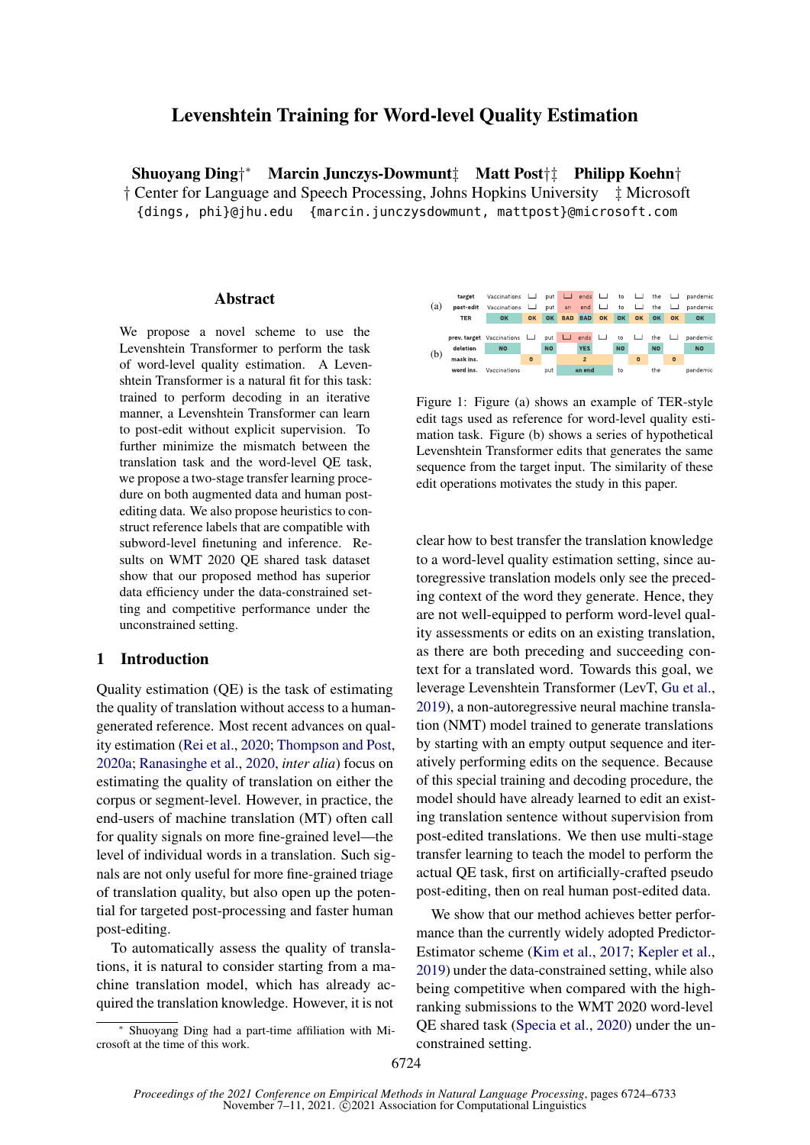# Levenshtein Training for Word-level Quality Estimation

Shuoyang Ding† <sup>∗</sup> Marcin Junczys-Dowmunt‡ Matt Post†‡ Philipp Koehn† † Center for Language and Speech Processing, Johns Hopkins University ‡ Microsoft {dings, phi}@jhu.edu {marcin.junczysdowmunt, mattpost}@microsoft.com

### Abstract

We propose a novel scheme to use the Levenshtein Transformer to perform the task of word-level quality estimation. A Levenshtein Transformer is a natural fit for this task: trained to perform decoding in an iterative manner, a Levenshtein Transformer can learn to post-edit without explicit supervision. To further minimize the mismatch between the translation task and the word-level QE task, we propose a two-stage transfer learning procedure on both augmented data and human postediting data. We also propose heuristics to construct reference labels that are compatible with subword-level finetuning and inference. Results on WMT 2020 QE shared task dataset show that our proposed method has superior data efficiency under the data-constrained setting and competitive performance under the unconstrained setting.

## 1 Introductio[n](#page-0-0)

Quality estimation (QE) is the task of estimating the quality of translation without access to a humangenerated reference. Most recent advances on quality estimation [\(Rei et al.,](#page-5-0) [2020;](#page-5-0) [Thompson and Post,](#page-5-1) [2020a;](#page-5-1) [Ranasinghe et al.,](#page-5-2) [2020,](#page-5-2) *inter alia*) focus on estimating the quality of translation on either the corpus or segment-level. However, in practice, the end-users of machine translation (MT) often call for quality signals on more fine-grained level—the level of individual words in a translation. Such signals are not only useful for more fine-grained triage of translation quality, but also open up the potential for targeted post-processing and faster human post-editing.

To automatically assess the quality of translations, it is natural to consider starting from a machine translation model, which has already acquired the translation knowledge. However, it is not

<span id="page-0-1"></span>

Figure 1: Figure (a) shows an example of TER-style edit tags used as reference for word-level quality estimation task. Figure (b) shows a series of hypothetical Levenshtein Transformer edits that generates the same sequence from the target input. The similarity of these edit operations motivates the study in this paper.

clear how to best transfer the translation knowledge to a word-level quality estimation setting, since autoregressive translation models only see the preceding context of the word they generate. Hence, they are not well-equipped to perform word-level quality assessments or edits on an existing translation, as there are both preceding and succeeding context for a translated word. Towards this goal, we leverage Levenshtein Transformer (LevT, [Gu et al.,](#page-5-3) [2019\)](#page-5-3), a non-autoregressive neural machine translation (NMT) model trained to generate translations by starting with an empty output sequence and iteratively performing edits on the sequence. Because of this special training and decoding procedure, the model should have already learned to edit an existing translation sentence without supervision from post-edited translations. We then use multi-stage transfer learning to teach the model to perform the actual QE task, first on artificially-crafted pseudo post-editing, then on real human post-edited data.

We show that our method achieves better performance than the currently widely adopted Predictor-Estimator scheme [\(Kim et al.,](#page-5-4) [2017;](#page-5-4) [Kepler et al.,](#page-5-5) [2019\)](#page-5-5) under the data-constrained setting, while also being competitive when compared with the highranking submissions to the WMT 2020 word-level QE shared task [\(Specia et al.,](#page-5-6) [2020\)](#page-5-6) under the unconstrained setting.

<span id="page-0-0"></span><sup>∗</sup> Shuoyang Ding had a part-time affiliation with Microsoft at the time of this work.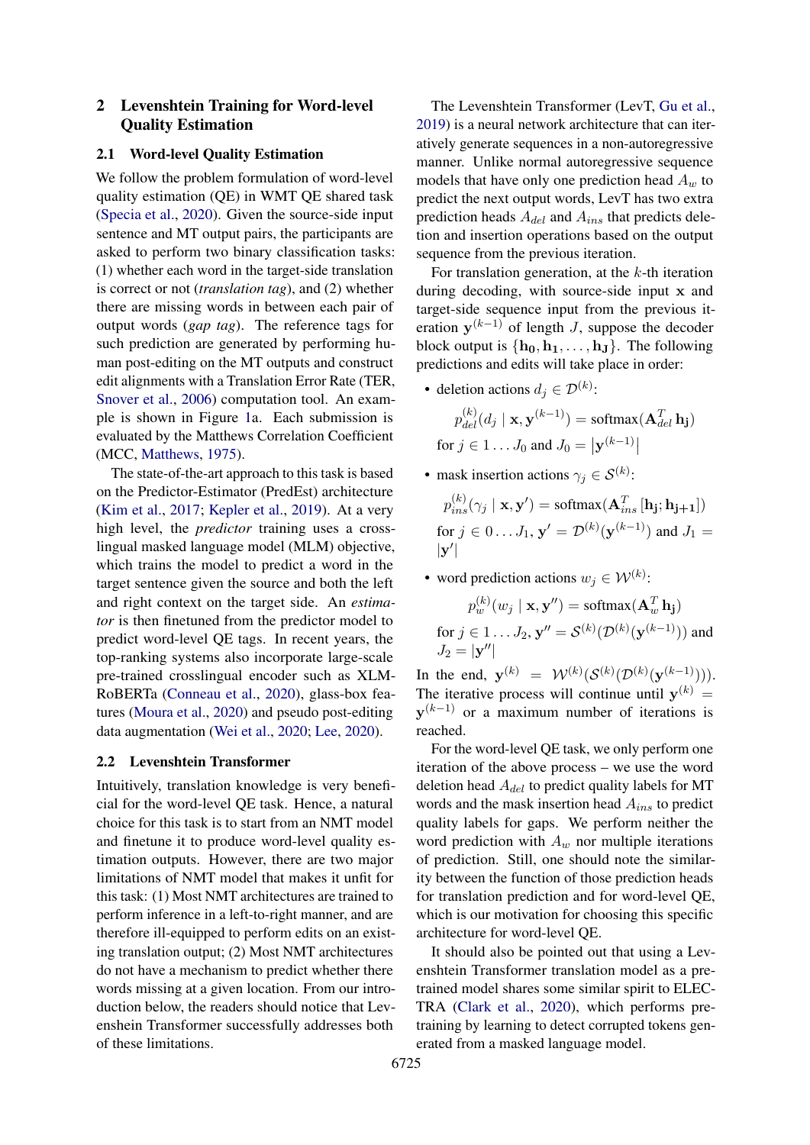## 2 Levenshtein Training for Word-level Quality Estimation

## 2.1 Word-level Quality Estimation

We follow the problem formulation of word-level quality estimation (QE) in WMT QE shared task [\(Specia et al.,](#page-5-6) [2020\)](#page-5-6). Given the source-side input sentence and MT output pairs, the participants are asked to perform two binary classification tasks: (1) whether each word in the target-side translation is correct or not (*translation tag*), and (2) whether there are missing words in between each pair of output words (*gap tag*). The reference tags for such prediction are generated by performing human post-editing on the MT outputs and construct edit alignments with a Translation Error Rate (TER, [Snover et al.,](#page-5-7) [2006\)](#page-5-7) computation tool. An example is shown in Figure [1a](#page-0-1). Each submission is evaluated by the Matthews Correlation Coefficient (MCC, [Matthews,](#page-5-8) [1975\)](#page-5-8).

The state-of-the-art approach to this task is based on the Predictor-Estimator (PredEst) architecture [\(Kim et al.,](#page-5-4) [2017;](#page-5-4) [Kepler et al.,](#page-5-5) [2019\)](#page-5-5). At a very high level, the *predictor* training uses a crosslingual masked language model (MLM) objective, which trains the model to predict a word in the target sentence given the source and both the left and right context on the target side. An *estimator* is then finetuned from the predictor model to predict word-level QE tags. In recent years, the top-ranking systems also incorporate large-scale pre-trained crosslingual encoder such as XLM-RoBERTa [\(Conneau et al.,](#page-5-9) [2020\)](#page-5-9), glass-box features [\(Moura et al.,](#page-5-10) [2020\)](#page-5-10) and pseudo post-editing data augmentation [\(Wei et al.,](#page-6-0) [2020;](#page-6-0) [Lee,](#page-5-11) [2020\)](#page-5-11).

#### 2.2 Levenshtein Transformer

Intuitively, translation knowledge is very beneficial for the word-level QE task. Hence, a natural choice for this task is to start from an NMT model and finetune it to produce word-level quality estimation outputs. However, there are two major limitations of NMT model that makes it unfit for this task: (1) Most NMT architectures are trained to perform inference in a left-to-right manner, and are therefore ill-equipped to perform edits on an existing translation output; (2) Most NMT architectures do not have a mechanism to predict whether there words missing at a given location. From our introduction below, the readers should notice that Levenshein Transformer successfully addresses both of these limitations.

The Levenshtein Transformer (LevT, [Gu et al.,](#page-5-3) [2019\)](#page-5-3) is a neural network architecture that can iteratively generate sequences in a non-autoregressive manner. Unlike normal autoregressive sequence models that have only one prediction head  $A_w$  to predict the next output words, LevT has two extra prediction heads  $A_{del}$  and  $A_{ins}$  that predicts deletion and insertion operations based on the output sequence from the previous iteration.

For translation generation, at the  $k$ -th iteration during decoding, with source-side input x and target-side sequence input from the previous iteration  $y^{(k-1)}$  of length J, suppose the decoder block output is  $\{h_0, h_1, \ldots, h_J\}$ . The following predictions and edits will take place in order:

• deletion actions  $d_j \in \mathcal{D}^{(k)}$ :

$$
p_{del}^{(k)}(d_j \mid \mathbf{x}, \mathbf{y}^{(k-1)}) = \text{softmax}(\mathbf{A}_{del}^T \mathbf{h_j})
$$
  
for  $j \in 1 \dots J_0$  and  $J_0 = |\mathbf{y}^{(k-1)}|$ 

• mask insertion actions  $\gamma_j \in \mathcal{S}^{(k)}$ :

 $p_{ins}^{(k)}(\gamma_j \mid \mathbf{x}, \mathbf{y}') = \text{softmax}(\mathbf{A}_{ins}^T \left[ \mathbf{h_j}; \mathbf{h_{j+1}} \right])$ for  $j \in 0...$   $J_1$ ,  $\mathbf{y}' = \mathcal{D}^{(k)}(\mathbf{y}^{(k-1)})$  and  $J_1 =$  $|\mathbf{y}'|$ 

• word prediction actions  $w_j \in \mathcal{W}^{(k)}$ :

$$
p_w^{(k)}(w_j \mid \mathbf{x}, \mathbf{y''}) = \text{softmax}(\mathbf{A}_w^T \mathbf{h_j})
$$
  
for  $j \in 1 \dots J_2$ ,  $\mathbf{y''} = \mathcal{S}^{(k)}(\mathcal{D}^{(k)}(\mathbf{y}^{(k-1)}))$  and  $J_2 = |\mathbf{y''}|$ 

In the end,  $y^{(k)} = W^{(k)}(S^{(k)}(\mathcal{D}^{(k)}(\mathbf{y}^{(k-1)}))).$ The iterative process will continue until  $y^{(k)} =$  $y^{(k-1)}$  or a maximum number of iterations is reached.

For the word-level QE task, we only perform one iteration of the above process – we use the word deletion head  $A_{del}$  to predict quality labels for MT words and the mask insertion head  $A_{ins}$  to predict quality labels for gaps. We perform neither the word prediction with  $A_w$  nor multiple iterations of prediction. Still, one should note the similarity between the function of those prediction heads for translation prediction and for word-level QE, which is our motivation for choosing this specific architecture for word-level QE.

It should also be pointed out that using a Levenshtein Transformer translation model as a pretrained model shares some similar spirit to ELEC-TRA [\(Clark et al.,](#page-5-12) [2020\)](#page-5-12), which performs pretraining by learning to detect corrupted tokens generated from a masked language model.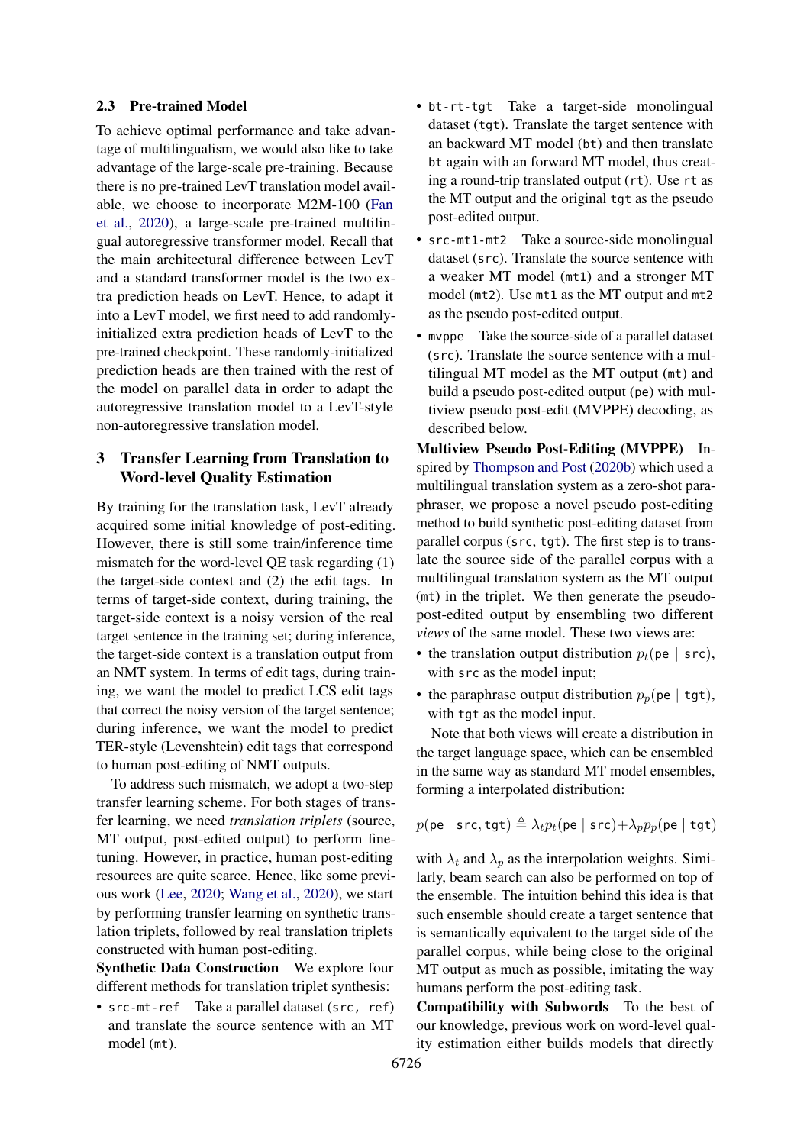#### <span id="page-2-0"></span>2.3 Pre-trained Model

To achieve optimal performance and take advantage of multilingualism, we would also like to take advantage of the large-scale pre-training. Because there is no pre-trained LevT translation model available, we choose to incorporate M2M-100 [\(Fan](#page-5-13) [et al.,](#page-5-13) [2020\)](#page-5-13), a large-scale pre-trained multilingual autoregressive transformer model. Recall that the main architectural difference between LevT and a standard transformer model is the two extra prediction heads on LevT. Hence, to adapt it into a LevT model, we first need to add randomlyinitialized extra prediction heads of LevT to the pre-trained checkpoint. These randomly-initialized prediction heads are then trained with the rest of the model on parallel data in order to adapt the autoregressive translation model to a LevT-style non-autoregressive translation model.

## 3 Transfer Learning from Translation to Word-level Quality Estimation

By training for the translation task, LevT already acquired some initial knowledge of post-editing. However, there is still some train/inference time mismatch for the word-level QE task regarding (1) the target-side context and (2) the edit tags. In terms of target-side context, during training, the target-side context is a noisy version of the real target sentence in the training set; during inference, the target-side context is a translation output from an NMT system. In terms of edit tags, during training, we want the model to predict LCS edit tags that correct the noisy version of the target sentence; during inference, we want the model to predict TER-style (Levenshtein) edit tags that correspond to human post-editing of NMT outputs.

To address such mismatch, we adopt a two-step transfer learning scheme. For both stages of transfer learning, we need *translation triplets* (source, MT output, post-edited output) to perform finetuning. However, in practice, human post-editing resources are quite scarce. Hence, like some previous work [\(Lee,](#page-5-11) [2020;](#page-5-11) [Wang et al.,](#page-5-14) [2020\)](#page-5-14), we start by performing transfer learning on synthetic translation triplets, followed by real translation triplets constructed with human post-editing.

Synthetic Data Construction We explore four different methods for translation triplet synthesis:

• src-mt-ref Take a parallel dataset (src, ref) and translate the source sentence with an MT model (mt).

- bt-rt-tgt Take a target-side monolingual dataset (tgt). Translate the target sentence with an backward MT model (bt) and then translate bt again with an forward MT model, thus creating a round-trip translated output (rt). Use rt as the MT output and the original tgt as the pseudo post-edited output.
- src-mt1-mt2 Take a source-side monolingual dataset (src). Translate the source sentence with a weaker MT model (mt1) and a stronger MT model (mt2). Use mt1 as the MT output and mt2 as the pseudo post-edited output.
- mvppe Take the source-side of a parallel dataset (src). Translate the source sentence with a multilingual MT model as the MT output (mt) and build a pseudo post-edited output (pe) with multiview pseudo post-edit (MVPPE) decoding, as described below.

Multiview Pseudo Post-Editing (MVPPE) Inspired by [Thompson and Post](#page-5-15) [\(2020b\)](#page-5-15) which used a multilingual translation system as a zero-shot paraphraser, we propose a novel pseudo post-editing method to build synthetic post-editing dataset from parallel corpus (src, tgt). The first step is to translate the source side of the parallel corpus with a multilingual translation system as the MT output (mt) in the triplet. We then generate the pseudopost-edited output by ensembling two different *views* of the same model. These two views are:

- the translation output distribution  $p_t$ (pe | src), with src as the model input;
- the paraphrase output distribution  $p_p$ (pe | tgt), with tgt as the model input.

Note that both views will create a distribution in the target language space, which can be ensembled in the same way as standard MT model ensembles, forming a interpolated distribution:

$$
p(\mathsf{pe} \mid \mathsf{src}, \mathsf{tgt}) \triangleq \lambda_t p_t(\mathsf{pe} \mid \mathsf{src}) + \lambda_p p_p(\mathsf{pe} \mid \mathsf{tgt})
$$

with  $\lambda_t$  and  $\lambda_p$  as the interpolation weights. Similarly, beam search can also be performed on top of the ensemble. The intuition behind this idea is that such ensemble should create a target sentence that is semantically equivalent to the target side of the parallel corpus, while being close to the original MT output as much as possible, imitating the way humans perform the post-editing task.

Compatibility with Subwords To the best of our knowledge, previous work on word-level quality estimation either builds models that directly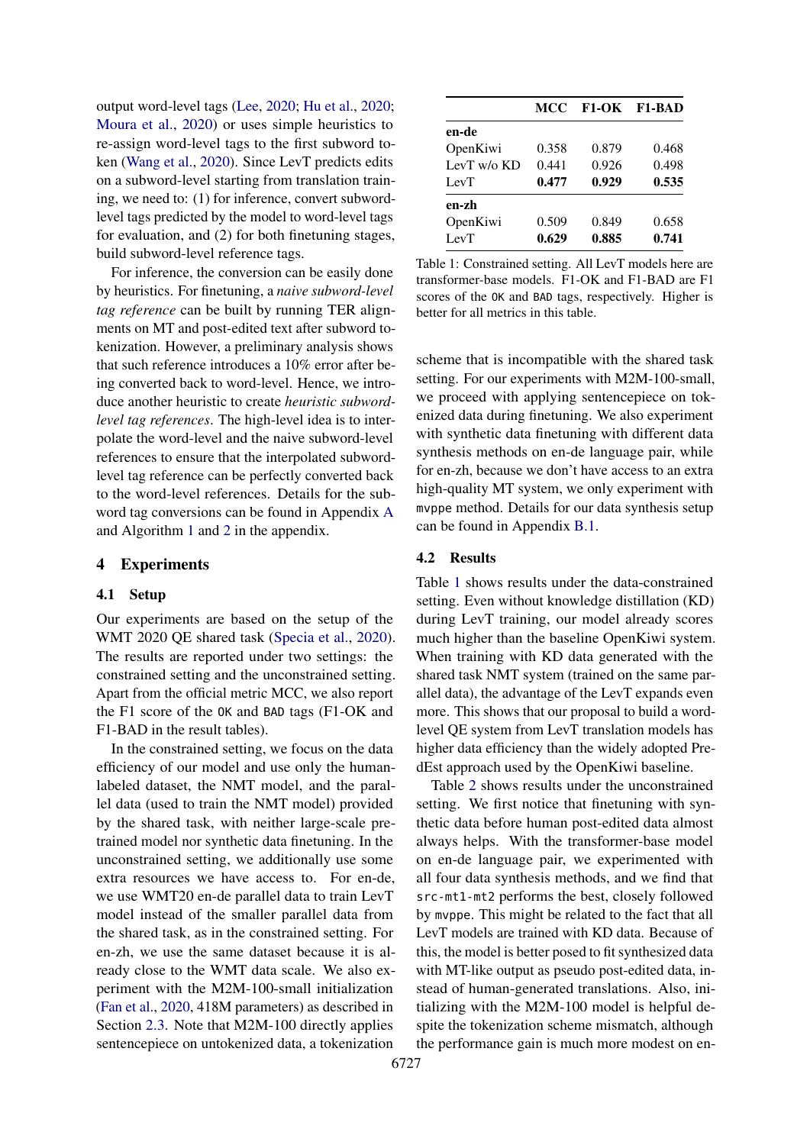output word-level tags [\(Lee,](#page-5-11) [2020;](#page-5-11) [Hu et al.,](#page-5-16) [2020;](#page-5-16) [Moura et al.,](#page-5-10) [2020\)](#page-5-10) or uses simple heuristics to re-assign word-level tags to the first subword token [\(Wang et al.,](#page-5-14) [2020\)](#page-5-14). Since LevT predicts edits on a subword-level starting from translation training, we need to: (1) for inference, convert subwordlevel tags predicted by the model to word-level tags for evaluation, and (2) for both finetuning stages, build subword-level reference tags.

For inference, the conversion can be easily done by heuristics. For finetuning, a *naive subword-level tag reference* can be built by running TER alignments on MT and post-edited text after subword tokenization. However, a preliminary analysis shows that such reference introduces a 10% error after being converted back to word-level. Hence, we introduce another heuristic to create *heuristic subwordlevel tag references*. The high-level idea is to interpolate the word-level and the naive subword-level references to ensure that the interpolated subwordlevel tag reference can be perfectly converted back to the word-level references. Details for the subword tag conversions can be found in Appendix [A](#page-7-0) and Algorithm [1](#page-7-1) and [2](#page-8-0) in the appendix.

#### 4 Experiments

### 4.1 Setup

Our experiments are based on the setup of the WMT 2020 QE shared task [\(Specia et al.,](#page-5-6) [2020\)](#page-5-6). The results are reported under two settings: the constrained setting and the unconstrained setting. Apart from the official metric MCC, we also report the F1 score of the OK and BAD tags (F1-OK and F1-BAD in the result tables).

In the constrained setting, we focus on the data efficiency of our model and use only the humanlabeled dataset, the NMT model, and the parallel data (used to train the NMT model) provided by the shared task, with neither large-scale pretrained model nor synthetic data finetuning. In the unconstrained setting, we additionally use some extra resources we have access to. For en-de, we use WMT20 en-de parallel data to train LevT model instead of the smaller parallel data from the shared task, as in the constrained setting. For en-zh, we use the same dataset because it is already close to the WMT data scale. We also experiment with the M2M-100-small initialization [\(Fan et al.,](#page-5-13) [2020,](#page-5-13) 418M parameters) as described in Section [2.3.](#page-2-0) Note that M2M-100 directly applies sentencepiece on untokenized data, a tokenization

<span id="page-3-0"></span>

|             | MCC   |       | <b>F1-OK F1-BAD</b> |
|-------------|-------|-------|---------------------|
| en-de       |       |       |                     |
| OpenKiwi    | 0.358 | 0.879 | 0.468               |
| LevT w/o KD | 0.441 | 0.926 | 0.498               |
| LevT        | 0.477 | 0.929 | 0.535               |
| en-zh       |       |       |                     |
| OpenKiwi    | 0.509 | 0.849 | 0.658               |
| LevT        | 0.629 | 0.885 | 0.741               |

Table 1: Constrained setting. All LevT models here are transformer-base models. F1-OK and F1-BAD are F1 scores of the OK and BAD tags, respectively. Higher is better for all metrics in this table.

scheme that is incompatible with the shared task setting. For our experiments with M2M-100-small, we proceed with applying sentencepiece on tokenized data during finetuning. We also experiment with synthetic data finetuning with different data synthesis methods on en-de language pair, while for en-zh, because we don't have access to an extra high-quality MT system, we only experiment with mvppe method. Details for our data synthesis setup can be found in Appendix [B.1.](#page-7-2)

## 4.2 Results

Table [1](#page-3-0) shows results under the data-constrained setting. Even without knowledge distillation (KD) during LevT training, our model already scores much higher than the baseline OpenKiwi system. When training with KD data generated with the shared task NMT system (trained on the same parallel data), the advantage of the LevT expands even more. This shows that our proposal to build a wordlevel QE system from LevT translation models has higher data efficiency than the widely adopted PredEst approach used by the OpenKiwi baseline.

Table [2](#page-4-0) shows results under the unconstrained setting. We first notice that finetuning with synthetic data before human post-edited data almost always helps. With the transformer-base model on en-de language pair, we experimented with all four data synthesis methods, and we find that src-mt1-mt2 performs the best, closely followed by mvppe. This might be related to the fact that all LevT models are trained with KD data. Because of this, the model is better posed to fit synthesized data with MT-like output as pseudo post-edited data, instead of human-generated translations. Also, initializing with the M2M-100 model is helpful despite the tokenization scheme mismatch, although the performance gain is much more modest on en-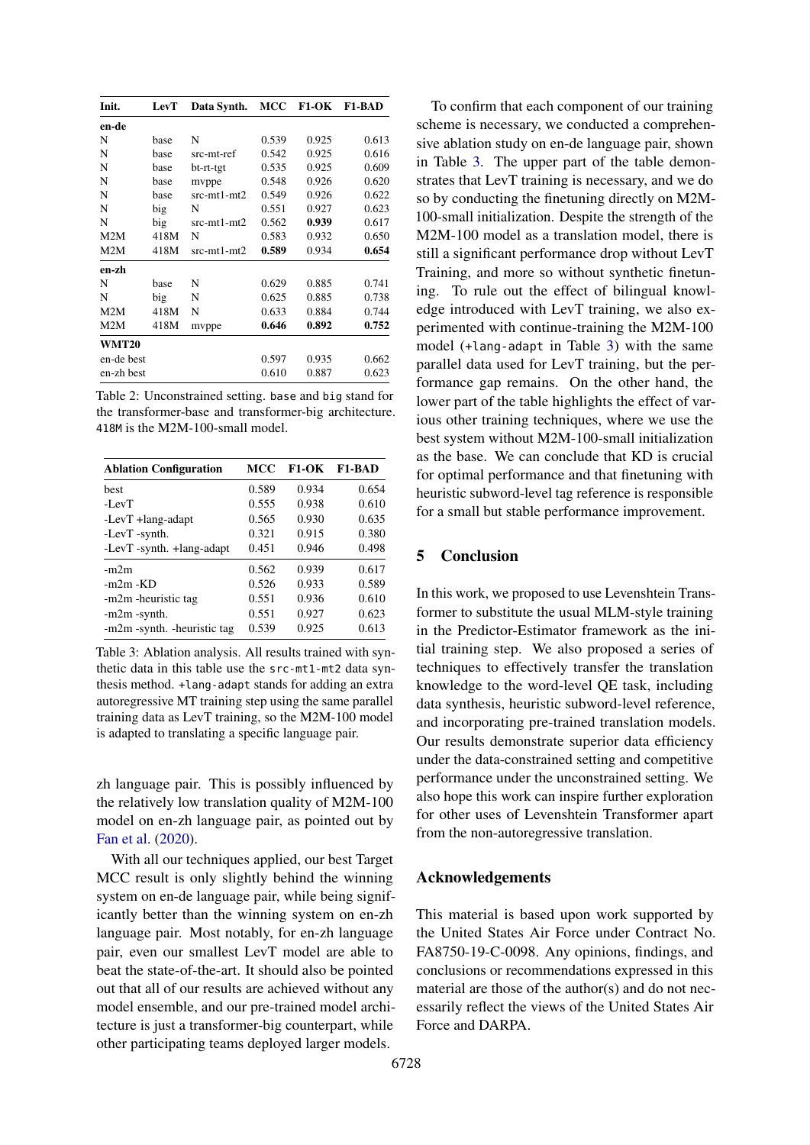<span id="page-4-0"></span>

| Init.        | <b>LevT</b> | Data Synth.   | <b>MCC</b> | $F1-OK$ | <b>F1-BAD</b> |
|--------------|-------------|---------------|------------|---------|---------------|
| en-de        |             |               |            |         |               |
| N            | base        | N             | 0.539      | 0.925   | 0.613         |
| N            | base        | src-mt-ref    | 0.542      | 0.925   | 0.616         |
| N            | base        | bt-rt-tgt     | 0.535      | 0.925   | 0.609         |
| N            | base        | mvppe         | 0.548      | 0.926   | 0.620         |
| N            | base        | src-mt1-mt2   | 0.549      | 0.926   | 0.622         |
| N            | big         | N             | 0.551      | 0.927   | 0.623         |
| N            | big         | $src-mt1-mt2$ | 0.562      | 0.939   | 0.617         |
| M2M          | 418M        | N             | 0.583      | 0.932   | 0.650         |
| M2M          | 418M        | src-mt1-mt2   | 0.589      | 0.934   | 0.654         |
| en-zh        |             |               |            |         |               |
| N            | base        | N             | 0.629      | 0.885   | 0.741         |
| N            | big         | N             | 0.625      | 0.885   | 0.738         |
| M2M          | 418M        | N             | 0.633      | 0.884   | 0.744         |
| M2M          | 418M        | mvppe         | 0.646      | 0.892   | 0.752         |
| <b>WMT20</b> |             |               |            |         |               |
| en-de best   |             |               | 0.597      | 0.935   | 0.662         |
| en-zh best   |             |               | 0.610      | 0.887   | 0.623         |

Table 2: Unconstrained setting. base and big stand for the transformer-base and transformer-big architecture. 418M is the M2M-100-small model.

<span id="page-4-1"></span>

| <b>Ablation Configuration</b> | MCC   | <b>F1-OK</b> | F1-BAD |
|-------------------------------|-------|--------------|--------|
| hest                          | 0.589 | 0.934        | 0.654  |
| $-I$ $evT$                    | 0.555 | 0.938        | 0.610  |
| -LevT +lang-adapt             | 0.565 | 0.930        | 0.635  |
| -LevT -synth.                 | 0.321 | 0.915        | 0.380  |
| -LevT -synth. +lang-adapt     | 0.451 | 0.946        | 0.498  |
| $-m2m$                        | 0.562 | 0.939        | 0.617  |
| $-m2m$ - $KD$                 | 0.526 | 0.933        | 0.589  |
| -m2m -heuristic tag           | 0.551 | 0.936        | 0.610  |
| -m2m -synth.                  | 0.551 | 0.927        | 0.623  |
| -m2m -synth. - heuristic tag  | 0.539 | 0.925        | 0.613  |

Table 3: Ablation analysis. All results trained with synthetic data in this table use the src-mt1-mt2 data synthesis method. +lang-adapt stands for adding an extra autoregressive MT training step using the same parallel training data as LevT training, so the M2M-100 model is adapted to translating a specific language pair.

zh language pair. This is possibly influenced by the relatively low translation quality of M2M-100 model on en-zh language pair, as pointed out by [Fan et al.](#page-5-13) [\(2020\)](#page-5-13).

With all our techniques applied, our best Target MCC result is only slightly behind the winning system on en-de language pair, while being significantly better than the winning system on en-zh language pair. Most notably, for en-zh language pair, even our smallest LevT model are able to beat the state-of-the-art. It should also be pointed out that all of our results are achieved without any model ensemble, and our pre-trained model architecture is just a transformer-big counterpart, while other participating teams deployed larger models.

To confirm that each component of our training scheme is necessary, we conducted a comprehensive ablation study on en-de language pair, shown in Table [3.](#page-4-1) The upper part of the table demonstrates that LevT training is necessary, and we do so by conducting the finetuning directly on M2M-100-small initialization. Despite the strength of the M2M-100 model as a translation model, there is still a significant performance drop without LevT Training, and more so without synthetic finetuning. To rule out the effect of bilingual knowledge introduced with LevT training, we also experimented with continue-training the M2M-100 model (+lang-adapt in Table [3\)](#page-4-1) with the same parallel data used for LevT training, but the performance gap remains. On the other hand, the lower part of the table highlights the effect of various other training techniques, where we use the best system without M2M-100-small initialization as the base. We can conclude that KD is crucial for optimal performance and that finetuning with heuristic subword-level tag reference is responsible for a small but stable performance improvement.

### 5 Conclusion

In this work, we proposed to use Levenshtein Transformer to substitute the usual MLM-style training in the Predictor-Estimator framework as the initial training step. We also proposed a series of techniques to effectively transfer the translation knowledge to the word-level QE task, including data synthesis, heuristic subword-level reference, and incorporating pre-trained translation models. Our results demonstrate superior data efficiency under the data-constrained setting and competitive performance under the unconstrained setting. We also hope this work can inspire further exploration for other uses of Levenshtein Transformer apart from the non-autoregressive translation.

### Acknowledgements

This material is based upon work supported by the United States Air Force under Contract No. FA8750-19-C-0098. Any opinions, findings, and conclusions or recommendations expressed in this material are those of the author(s) and do not necessarily reflect the views of the United States Air Force and DARPA.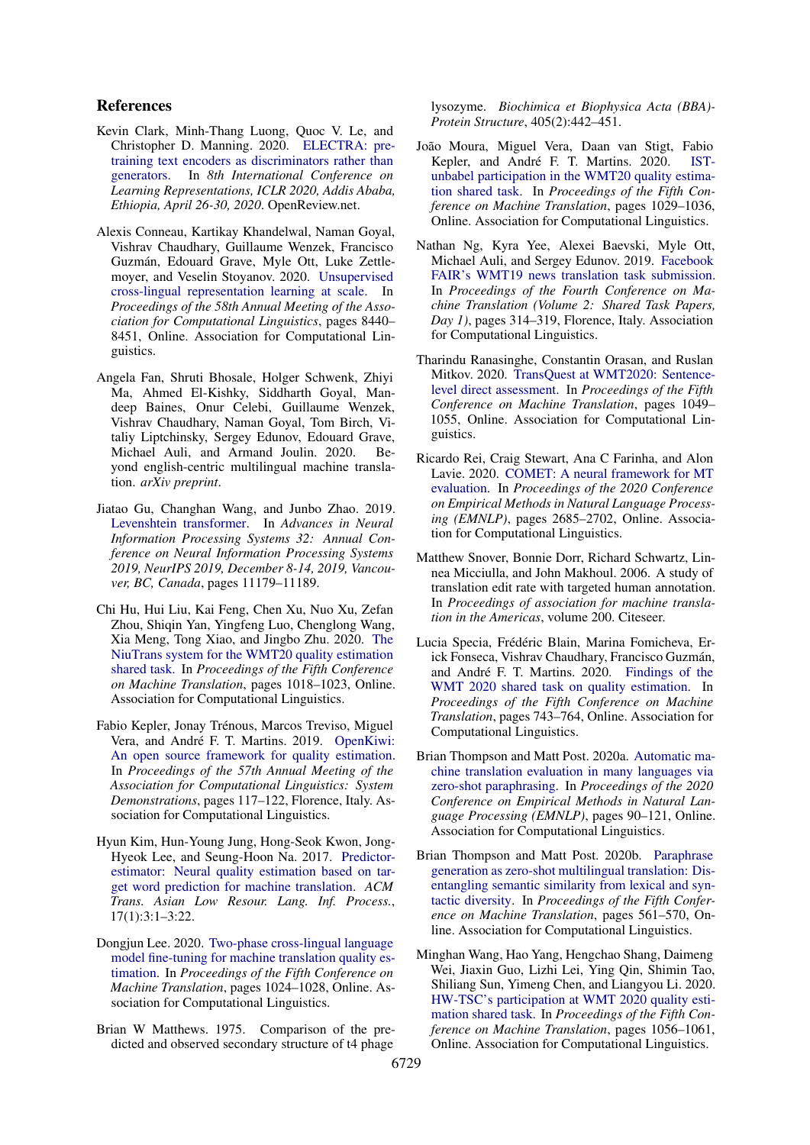## References

- <span id="page-5-12"></span>Kevin Clark, Minh-Thang Luong, Quoc V. Le, and Christopher D. Manning. 2020. [ELECTRA: pre](https://openreview.net/forum?id=r1xMH1BtvB)[training text encoders as discriminators rather than](https://openreview.net/forum?id=r1xMH1BtvB) [generators.](https://openreview.net/forum?id=r1xMH1BtvB) In *8th International Conference on Learning Representations, ICLR 2020, Addis Ababa, Ethiopia, April 26-30, 2020*. OpenReview.net.
- <span id="page-5-9"></span>Alexis Conneau, Kartikay Khandelwal, Naman Goyal, Vishrav Chaudhary, Guillaume Wenzek, Francisco Guzmán, Edouard Grave, Myle Ott, Luke Zettlemoyer, and Veselin Stoyanov. 2020. [Unsupervised](https://doi.org/10.18653/v1/2020.acl-main.747) [cross-lingual representation learning at scale.](https://doi.org/10.18653/v1/2020.acl-main.747) In *Proceedings of the 58th Annual Meeting of the Association for Computational Linguistics*, pages 8440– 8451, Online. Association for Computational Linguistics.
- <span id="page-5-13"></span>Angela Fan, Shruti Bhosale, Holger Schwenk, Zhiyi Ma, Ahmed El-Kishky, Siddharth Goyal, Mandeep Baines, Onur Celebi, Guillaume Wenzek, Vishrav Chaudhary, Naman Goyal, Tom Birch, Vitaliy Liptchinsky, Sergey Edunov, Edouard Grave, Michael Auli, and Armand Joulin. 2020. Beyond english-centric multilingual machine translation. *arXiv preprint*.
- <span id="page-5-3"></span>Jiatao Gu, Changhan Wang, and Junbo Zhao. 2019. [Levenshtein transformer.](https://proceedings.neurips.cc/paper/2019/hash/675f9820626f5bc0afb47b57890b466e-Abstract.html) In *Advances in Neural Information Processing Systems 32: Annual Conference on Neural Information Processing Systems 2019, NeurIPS 2019, December 8-14, 2019, Vancouver, BC, Canada*, pages 11179–11189.
- <span id="page-5-16"></span>Chi Hu, Hui Liu, Kai Feng, Chen Xu, Nuo Xu, Zefan Zhou, Shiqin Yan, Yingfeng Luo, Chenglong Wang, Xia Meng, Tong Xiao, and Jingbo Zhu. 2020. [The](https://www.aclweb.org/anthology/2020.wmt-1.117) [NiuTrans system for the WMT20 quality estimation](https://www.aclweb.org/anthology/2020.wmt-1.117) [shared task.](https://www.aclweb.org/anthology/2020.wmt-1.117) In *Proceedings of the Fifth Conference on Machine Translation*, pages 1018–1023, Online. Association for Computational Linguistics.
- <span id="page-5-5"></span>Fabio Kepler, Jonay Trénous, Marcos Treviso, Miguel Vera, and André F. T. Martins. 2019. [OpenKiwi:](https://doi.org/10.18653/v1/P19-3020) [An open source framework for quality estimation.](https://doi.org/10.18653/v1/P19-3020) In *Proceedings of the 57th Annual Meeting of the Association for Computational Linguistics: System Demonstrations*, pages 117–122, Florence, Italy. Association for Computational Linguistics.
- <span id="page-5-4"></span>Hyun Kim, Hun-Young Jung, Hong-Seok Kwon, Jong-Hyeok Lee, and Seung-Hoon Na. 2017. [Predictor](https://doi.org/10.1145/3109480)[estimator: Neural quality estimation based on tar](https://doi.org/10.1145/3109480)[get word prediction for machine translation.](https://doi.org/10.1145/3109480) *ACM Trans. Asian Low Resour. Lang. Inf. Process.*, 17(1):3:1–3:22.
- <span id="page-5-11"></span>Dongjun Lee. 2020. [Two-phase cross-lingual language](https://www.aclweb.org/anthology/2020.wmt-1.118) [model fine-tuning for machine translation quality es](https://www.aclweb.org/anthology/2020.wmt-1.118)[timation.](https://www.aclweb.org/anthology/2020.wmt-1.118) In *Proceedings of the Fifth Conference on Machine Translation*, pages 1024–1028, Online. Association for Computational Linguistics.
- <span id="page-5-8"></span>Brian W Matthews. 1975. Comparison of the predicted and observed secondary structure of t4 phage

lysozyme. *Biochimica et Biophysica Acta (BBA)- Protein Structure*, 405(2):442–451.

- <span id="page-5-10"></span>João Moura, Miguel Vera, Daan van Stigt, Fabio Kepler, and André F. T. Martins. 2020. [IST](https://www.aclweb.org/anthology/2020.wmt-1.119)[unbabel participation in the WMT20 quality estima](https://www.aclweb.org/anthology/2020.wmt-1.119)[tion shared task.](https://www.aclweb.org/anthology/2020.wmt-1.119) In *Proceedings of the Fifth Conference on Machine Translation*, pages 1029–1036, Online. Association for Computational Linguistics.
- <span id="page-5-17"></span>Nathan Ng, Kyra Yee, Alexei Baevski, Myle Ott, Michael Auli, and Sergey Edunov. 2019. [Facebook](https://doi.org/10.18653/v1/W19-5333) [FAIR's WMT19 news translation task submission.](https://doi.org/10.18653/v1/W19-5333) In *Proceedings of the Fourth Conference on Machine Translation (Volume 2: Shared Task Papers, Day 1)*, pages 314–319, Florence, Italy. Association for Computational Linguistics.
- <span id="page-5-2"></span>Tharindu Ranasinghe, Constantin Orasan, and Ruslan Mitkov. 2020. [TransQuest at WMT2020: Sentence](https://www.aclweb.org/anthology/2020.wmt-1.122)[level direct assessment.](https://www.aclweb.org/anthology/2020.wmt-1.122) In *Proceedings of the Fifth Conference on Machine Translation*, pages 1049– 1055, Online. Association for Computational Linguistics.
- <span id="page-5-0"></span>Ricardo Rei, Craig Stewart, Ana C Farinha, and Alon Lavie. 2020. [COMET: A neural framework for MT](https://doi.org/10.18653/v1/2020.emnlp-main.213) [evaluation.](https://doi.org/10.18653/v1/2020.emnlp-main.213) In *Proceedings of the 2020 Conference on Empirical Methods in Natural Language Processing (EMNLP)*, pages 2685–2702, Online. Association for Computational Linguistics.
- <span id="page-5-7"></span>Matthew Snover, Bonnie Dorr, Richard Schwartz, Linnea Micciulla, and John Makhoul. 2006. A study of translation edit rate with targeted human annotation. In *Proceedings of association for machine translation in the Americas*, volume 200. Citeseer.
- <span id="page-5-6"></span>Lucia Specia, Frédéric Blain, Marina Fomicheva, Erick Fonseca, Vishrav Chaudhary, Francisco Guzmán, and André F. T. Martins. 2020. [Findings of the](https://www.aclweb.org/anthology/2020.wmt-1.79) [WMT 2020 shared task on quality estimation.](https://www.aclweb.org/anthology/2020.wmt-1.79) In *Proceedings of the Fifth Conference on Machine Translation*, pages 743–764, Online. Association for Computational Linguistics.
- <span id="page-5-1"></span>Brian Thompson and Matt Post. 2020a. [Automatic ma](https://doi.org/10.18653/v1/2020.emnlp-main.8)[chine translation evaluation in many languages via](https://doi.org/10.18653/v1/2020.emnlp-main.8) [zero-shot paraphrasing.](https://doi.org/10.18653/v1/2020.emnlp-main.8) In *Proceedings of the 2020 Conference on Empirical Methods in Natural Language Processing (EMNLP)*, pages 90–121, Online. Association for Computational Linguistics.
- <span id="page-5-15"></span>Brian Thompson and Matt Post. 2020b. [Paraphrase](https://www.aclweb.org/anthology/2020.wmt-1.67) [generation as zero-shot multilingual translation: Dis](https://www.aclweb.org/anthology/2020.wmt-1.67)[entangling semantic similarity from lexical and syn](https://www.aclweb.org/anthology/2020.wmt-1.67)[tactic diversity.](https://www.aclweb.org/anthology/2020.wmt-1.67) In *Proceedings of the Fifth Conference on Machine Translation*, pages 561–570, Online. Association for Computational Linguistics.
- <span id="page-5-14"></span>Minghan Wang, Hao Yang, Hengchao Shang, Daimeng Wei, Jiaxin Guo, Lizhi Lei, Ying Qin, Shimin Tao, Shiliang Sun, Yimeng Chen, and Liangyou Li. 2020. [HW-TSC's participation at WMT 2020 quality esti](https://www.aclweb.org/anthology/2020.wmt-1.123)[mation shared task.](https://www.aclweb.org/anthology/2020.wmt-1.123) In *Proceedings of the Fifth Conference on Machine Translation*, pages 1056–1061, Online. Association for Computational Linguistics.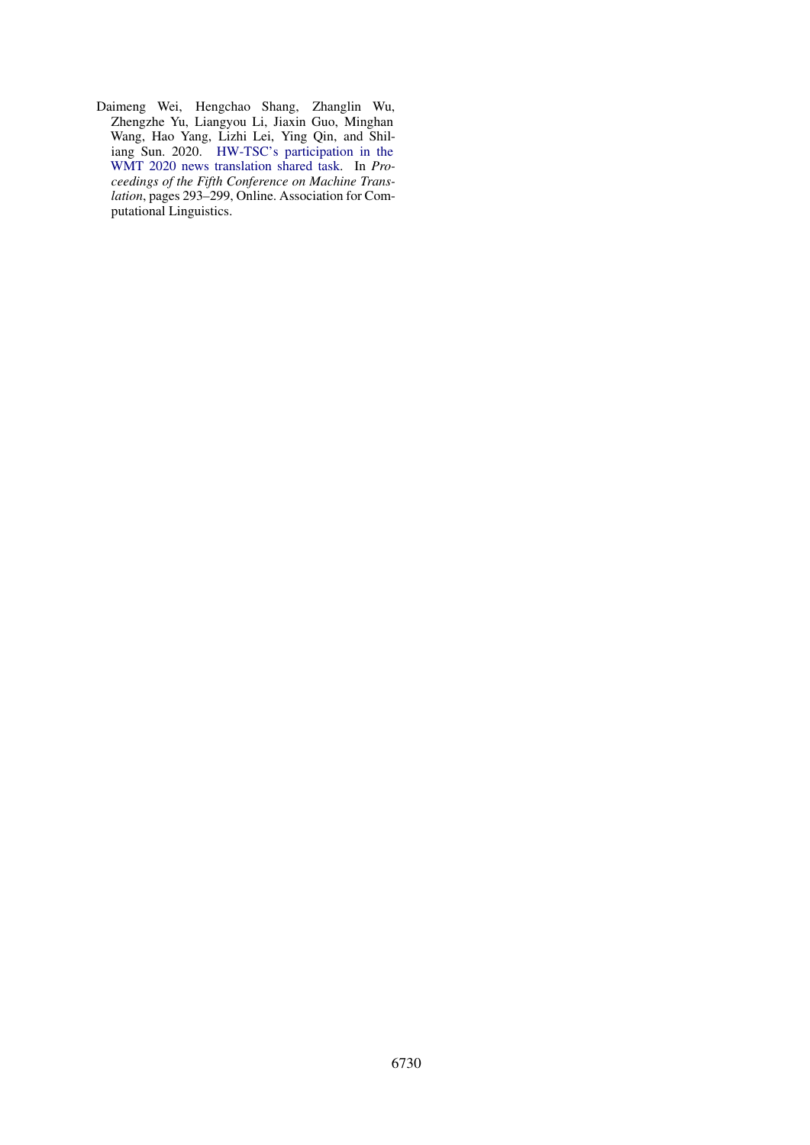<span id="page-6-0"></span>Daimeng Wei, Hengchao Shang, Zhanglin Wu, Zhengzhe Yu, Liangyou Li, Jiaxin Guo, Minghan Wang, Hao Yang, Lizhi Lei, Ying Qin, and Shiliang Sun. 2020. [HW-TSC's participation in the](https://www.aclweb.org/anthology/2020.wmt-1.31) [WMT 2020 news translation shared task.](https://www.aclweb.org/anthology/2020.wmt-1.31) In *Proceedings of the Fifth Conference on Machine Translation*, pages 293–299, Online. Association for Computational Linguistics.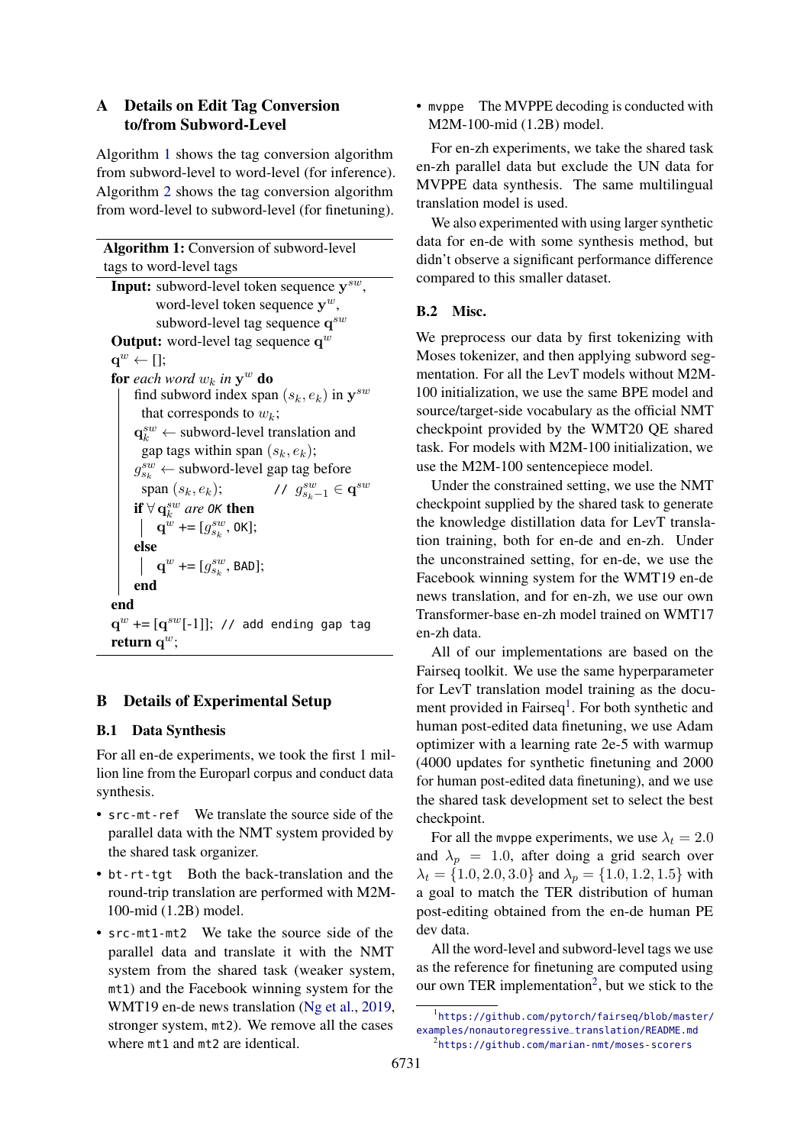# <span id="page-7-0"></span>A Details on Edit Tag Conversion to/from Subword-Level

Algorithm [1](#page-7-1) shows the tag conversion algorithm from subword-level to word-level (for inference). Algorithm [2](#page-8-0) shows the tag conversion algorithm from word-level to subword-level (for finetuning).

Algorithm 1: Conversion of subword-level tags to word-level tags Input: subword-level token sequence  $y^{sw}$ , word-level token sequence  $y^w$ , subword-level tag sequence  $\mathbf{q}^{sw}$ **Output:** word-level tag sequence  $\mathbf{q}^w$  $\mathbf{q}^w \leftarrow$  []; for each word  $w_k$  in  $y^w$  do find subword index span  $(s_k, e_k)$  in  $y^{sw}$ that corresponds to  $w_k$ ;  $\mathbf{q}_k^{sw} \leftarrow$  subword-level translation and gap tags within span  $(s_k, e_k)$ ;  $g_{s_k}^{sw} \leftarrow$  subword-level gap tag before span  $(s_k, e_k)$ ;  $s_{k-1}^{sw} \in \mathbf{q}^{sw}$ *if*  $\forall$  **q**<sup>*sw*</sup> *are* 0*K* **then**  $\mathbf{q}^w$  += [ $g_{s_k}^{sw}$ , 0K]; else  $\mathbf{q}^w$  +=  $[g_{s_k}^{sw},$  BAD]; end end  $\mathbf{q}^w$  +=  $[\mathbf{q}^{sw}[-1]]$ ; // add ending gap tag return  $q^w$ ;

# <span id="page-7-1"></span>B Details of Experimental Setup

## <span id="page-7-2"></span>B.1 Data Synthesis

For all en-de experiments, we took the first 1 million line from the Europarl corpus and conduct data synthesis.

- src-mt-ref We translate the source side of the parallel data with the NMT system provided by the shared task organizer.
- bt-rt-tgt Both the back-translation and the round-trip translation are performed with M2M-100-mid (1.2B) model.
- src-mt1-mt2 We take the source side of the parallel data and translate it with the NMT system from the shared task (weaker system, mt1) and the Facebook winning system for the WMT19 en-de news translation [\(Ng et al.,](#page-5-17) [2019,](#page-5-17) stronger system, mt2). We remove all the cases where mt1 and mt2 are identical.

• myppe The MVPPE decoding is conducted with M2M-100-mid (1.2B) model.

For en-zh experiments, we take the shared task en-zh parallel data but exclude the UN data for MVPPE data synthesis. The same multilingual translation model is used.

We also experimented with using larger synthetic data for en-de with some synthesis method, but didn't observe a significant performance difference compared to this smaller dataset.

## B.2 Misc.

We preprocess our data by first tokenizing with Moses tokenizer, and then applying subword segmentation. For all the LevT models without M2M-100 initialization, we use the same BPE model and source/target-side vocabulary as the official NMT checkpoint provided by the WMT20 QE shared task. For models with M2M-100 initialization, we use the M2M-100 sentencepiece model.

Under the constrained setting, we use the NMT checkpoint supplied by the shared task to generate the knowledge distillation data for LevT translation training, both for en-de and en-zh. Under the unconstrained setting, for en-de, we use the Facebook winning system for the WMT19 en-de news translation, and for en-zh, we use our own Transformer-base en-zh model trained on WMT17 en-zh data.

All of our implementations are based on the Fairseq toolkit. We use the same hyperparameter for LevT translation model training as the docu-ment provided in Fairseq<sup>[1](#page-7-3)</sup>. For both synthetic and human post-edited data finetuning, we use Adam optimizer with a learning rate 2e-5 with warmup (4000 updates for synthetic finetuning and 2000 for human post-edited data finetuning), and we use the shared task development set to select the best checkpoint.

For all the mvppe experiments, we use  $\lambda_t = 2.0$ and  $\lambda_p = 1.0$ , after doing a grid search over  $\lambda_t = \{1.0, 2.0, 3.0\}$  and  $\lambda_p = \{1.0, 1.2, 1.5\}$  with a goal to match the TER distribution of human post-editing obtained from the en-de human PE dev data.

All the word-level and subword-level tags we use as the reference for finetuning are computed using our own TER implementation<sup>[2](#page-7-4)</sup>, but we stick to the

<span id="page-7-4"></span><span id="page-7-3"></span><sup>1</sup> [https://github.com/pytorch/fairseq/blob/master/](https://github.com/pytorch/fairseq/blob/master/examples/nonautoregressive_translation/README.md) [examples/nonautoregressive\\_translation/README.md](https://github.com/pytorch/fairseq/blob/master/examples/nonautoregressive_translation/README.md) 2 <https://github.com/marian-nmt/moses-scorers>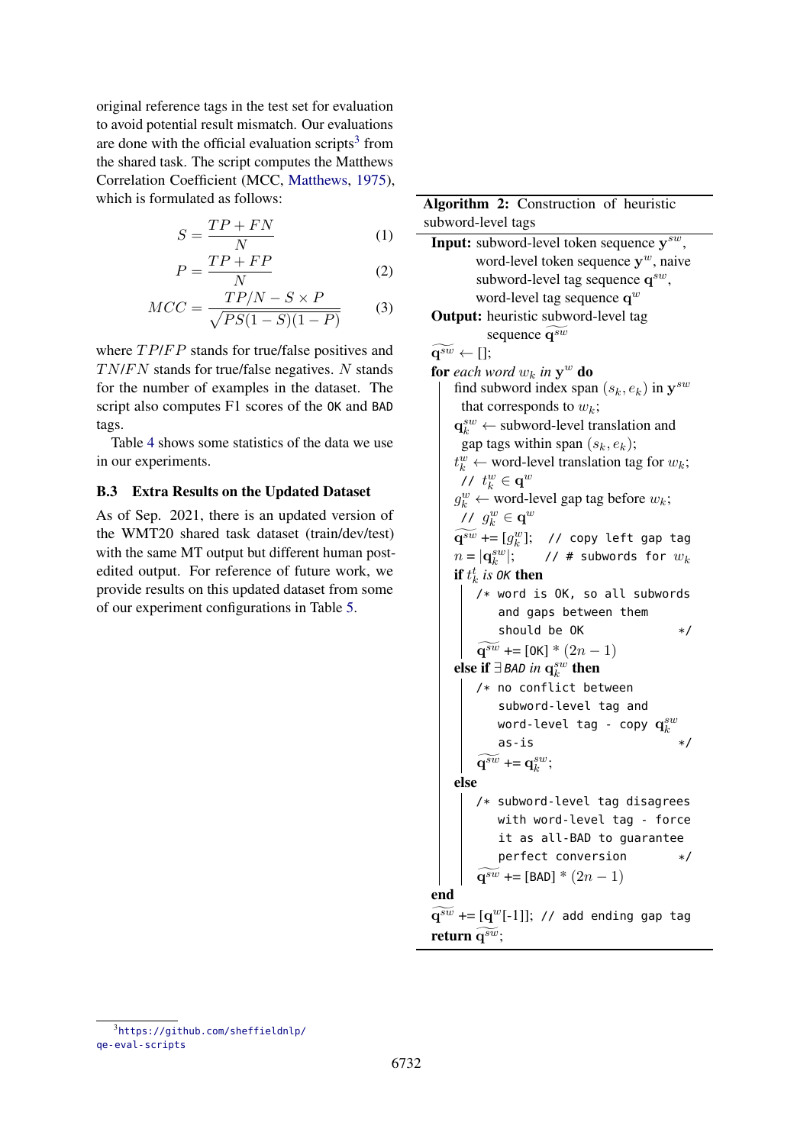original reference tags in the test set for evaluation to avoid potential result mismatch. Our evaluations are done with the official evaluation scripts $3$  from the shared task. The script computes the Matthews Correlation Coefficient (MCC, [Matthews,](#page-5-8) [1975\)](#page-5-8), which is formulated as follows:

$$
S = \frac{TP + FN}{N} \tag{1}
$$

$$
P = \frac{TP + FP}{N} \tag{2}
$$

$$
MCC = \frac{TP/N - S \times P}{\sqrt{PS(1 - S)(1 - P)}}\tag{3}
$$

where  $TP/FP$  stands for true/false positives and  $TN/FN$  stands for true/false negatives. N stands for the number of examples in the dataset. The script also computes F1 scores of the OK and BAD tags.

Table [4](#page-9-0) shows some statistics of the data we use in our experiments.

## B.3 Extra Results on the Updated Dataset

As of Sep. 2021, there is an updated version of the WMT20 shared task dataset (train/dev/test) with the same MT output but different human postedited output. For reference of future work, we provide results on this updated dataset from some of our experiment configurations in Table [5.](#page-9-1)

```
Algorithm 2: Construction of heuristic
subword-level tags
 Input: subword-level token sequence y^{sw},
          word-level token sequence y^w, naive
          subword-level tag sequence q^{sw},
          word-level tag sequence q
w
 Output: heuristic subword-level tag
            sequence \widetilde{\mathbf{q}^{sw}}\widetilde{\mathbf{q}^{sw}} \leftarrow [];
 for each word w_k in y^w do
      find subword index span (s_k, e_k) in y^{sw}that corresponds to w_k;
      \mathbf{q}_{k}^{sw} \leftarrow subword-level translation and
       gap tags within span (s_k, e_k);
      t_k^w \leftarrow word-level translation tag for w_k;
       // t_k^w \in \mathbf{q}^wg_k^w \leftarrow word-level gap tag before w_k;
       // g_k^w \in \mathbf{q}^w\widetilde{\mathbf{q}^{sw}} += [g^w_k]; // copy left gap tag
      n = |\mathbf{q}_k^{sw}// # subwords for w_kif t_k^t is OK then
         /* word is OK, so all subwords
              and gaps between them
              should be 0K */
          \widetilde{\mathbf{q}^{sw}} += [OK] * (2n - 1)else if ∃BAD in q_k^{sw} then
          /* no conflict between
              subword-level tag and
               word-level tag - copy \mathbf{q}^{su}_{k}as-is */
          \widetilde{\mathbf{q}^{sw}} += \mathbf{q}_k^{sw};
     else
          /* subword-level tag disagrees
              with word-level tag - force
              it as all-BAD to guarantee
              perfect conversion */
          \widetilde{q^{sw}} += [BAD] * (2n - 1)end
 \widetilde{\mathbf{q}^{sw}} += [\mathbf{q}^{w}[-1]]; // add ending gap tag
 return q^{sw};
```
<span id="page-8-1"></span><span id="page-8-0"></span><sup>3</sup> [https://github.com/sheffieldnlp/](https://github.com/sheffieldnlp/qe-eval-scripts) [qe-eval-scripts](https://github.com/sheffieldnlp/qe-eval-scripts)